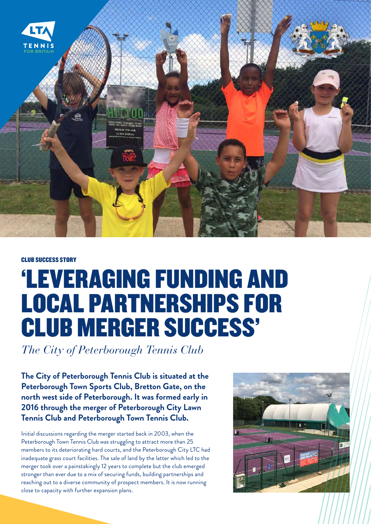

## CLUB SUCCESS STORY

## 'LEVERAGING FUNDING AND LOCAL PARTNERSHIPS FOR CLUB MERGER SUCCESS'

*The City of Peterborough Tennis Club*

**The City of Peterborough Tennis Club is situated at the Peterborough Town Sports Club, Bretton Gate, on the north west side of Peterborough. It was formed early in 2016 through the merger of Peterborough City Lawn Tennis Club and Peterborough Town Tennis Club.**

Initial discussions regarding the merger started back in 2003, when the Peterborough Town Tennis Club was struggling to attract more than 25 members to its deteriorating hard courts, and the Peterborough City LTC had inadequate grass court facilities. The sale of land by the latter which led to the merger took over a painstakingly 12 years to complete but the club emerged stronger than ever due to a mix of securing funds, building partnerships and reaching out to a diverse community of prospect members. It is now running close to capacity with further expansion plans.